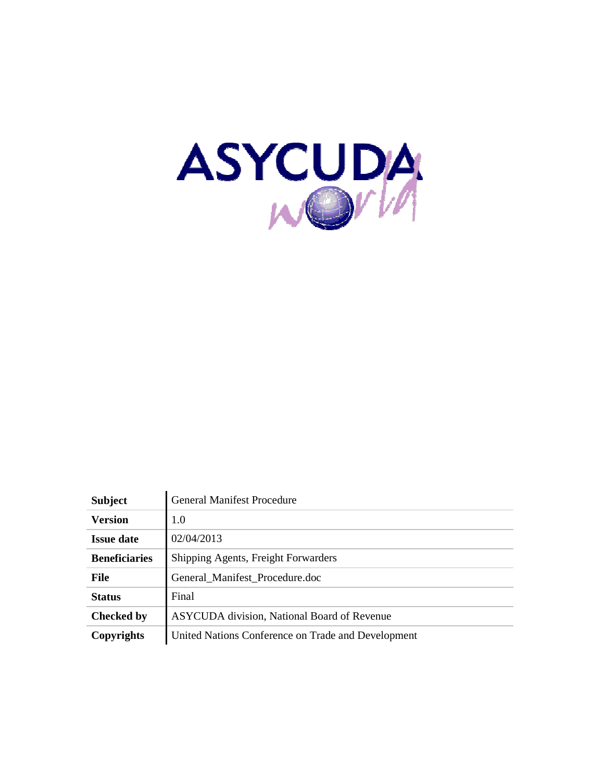

| <b>Subject</b>       | <b>General Manifest Procedure</b>                  |
|----------------------|----------------------------------------------------|
| <b>Version</b>       | 1.0                                                |
| <b>Issue date</b>    | 02/04/2013                                         |
| <b>Beneficiaries</b> | Shipping Agents, Freight Forwarders                |
| <b>File</b>          | General Manifest Procedure.doc                     |
| <b>Status</b>        | Final                                              |
| <b>Checked by</b>    | <b>ASYCUDA</b> division, National Board of Revenue |
| Copyrights           | United Nations Conference on Trade and Development |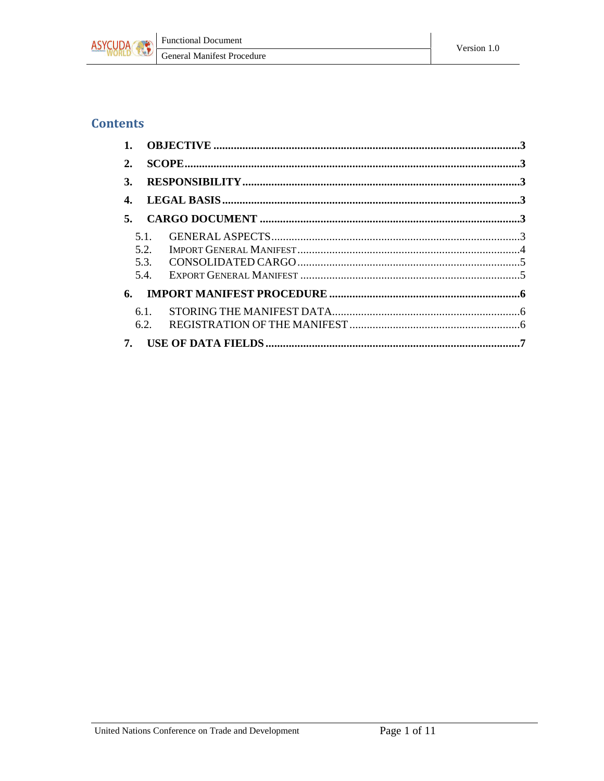

#### **Contents**

| 1. |      |  |
|----|------|--|
| 2. |      |  |
| 3. |      |  |
| 4. |      |  |
| 5. |      |  |
|    | 5.1. |  |
|    | 5.2. |  |
|    | 5.3. |  |
|    | 5.4. |  |
| 6. |      |  |
|    | 6.1. |  |
|    | 6.2. |  |
| 7. |      |  |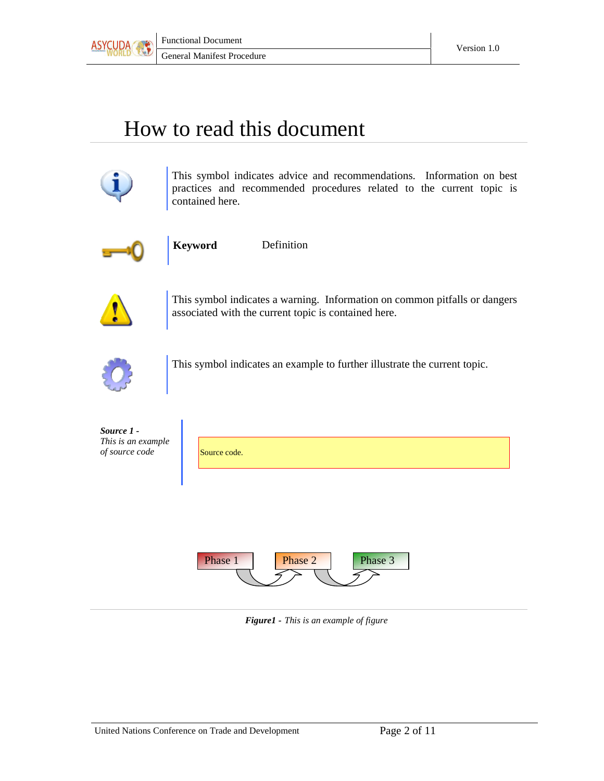

# How to read this document



This symbol indicates advice and recommendations. Information on best practices and recommended procedures related to the current topic is contained here.



**Keyword** Definition



This symbol indicates a warning. Information on common pitfalls or dangers associated with the current topic is contained here.



This symbol indicates an example to further illustrate the current topic.

| Source 1 -<br>This is an example<br>of source code | Source code.                  |
|----------------------------------------------------|-------------------------------|
|                                                    |                               |
|                                                    | Phase 1<br>Phase 3<br>Phase 2 |

*Figure1 - This is an example of figure*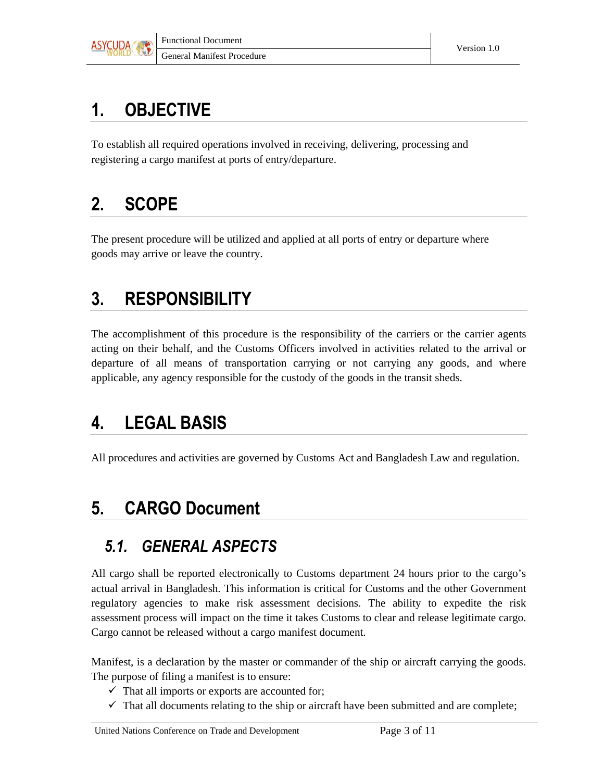

## 1. OBJECTIVE

To establish all required operations involved in receiving, delivering, processing and registering a cargo manifest at ports of entry/departure.

## 2. SCOPE

The present procedure will be utilized and applied at all ports of entry or departure where goods may arrive or leave the country.

## 3. RESPONSIBILITY

The accomplishment of this procedure is the responsibility of the carriers or the carrier agents acting on their behalf, and the Customs Officers involved in activities related to the arrival or departure of all means of transportation carrying or not carrying any goods, and where applicable, any agency responsible for the custody of the goods in the transit sheds.

# 4. LEGAL BASIS

All procedures and activities are governed by Customs Act and Bangladesh Law and regulation.

## 5. CARGO Document

### 5.1. GENERAL ASPECTS

All cargo shall be reported electronically to Customs department 24 hours prior to the cargo's actual arrival in Bangladesh. This information is critical for Customs and the other Government regulatory agencies to make risk assessment decisions. The ability to expedite the risk assessment process will impact on the time it takes Customs to clear and release legitimate cargo. Cargo cannot be released without a cargo manifest document.

Manifest, is a declaration by the master or commander of the ship or aircraft carrying the goods. The purpose of filing a manifest is to ensure:

- $\checkmark$  That all imports or exports are accounted for;
- $\checkmark$  That all documents relating to the ship or aircraft have been submitted and are complete;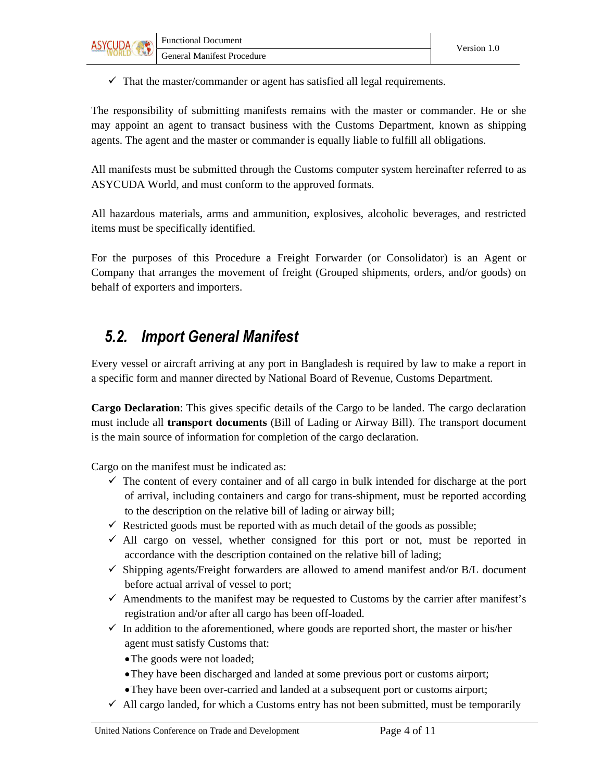

 $\checkmark$  That the master/commander or agent has satisfied all legal requirements.

The responsibility of submitting manifests remains with the master or commander. He or she may appoint an agent to transact business with the Customs Department, known as shipping agents. The agent and the master or commander is equally liable to fulfill all obligations.

All manifests must be submitted through the Customs computer system hereinafter referred to as ASYCUDA World, and must conform to the approved formats.

All hazardous materials, arms and ammunition, explosives, alcoholic beverages, and restricted items must be specifically identified.

For the purposes of this Procedure a Freight Forwarder (or Consolidator) is an Agent or Company that arranges the movement of freight (Grouped shipments, orders, and/or goods) on behalf of exporters and importers.

### 5.2. Import General Manifest

Every vessel or aircraft arriving at any port in Bangladesh is required by law to make a report in a specific form and manner directed by National Board of Revenue, Customs Department.

**Cargo Declaration**: This gives specific details of the Cargo to be landed. The cargo declaration must include all **transport documents** (Bill of Lading or Airway Bill). The transport document is the main source of information for completion of the cargo declaration.

Cargo on the manifest must be indicated as:

- $\checkmark$  The content of every container and of all cargo in bulk intended for discharge at the port of arrival, including containers and cargo for trans-shipment, must be reported according to the description on the relative bill of lading or airway bill;
- $\checkmark$  Restricted goods must be reported with as much detail of the goods as possible;
- $\checkmark$  All cargo on vessel, whether consigned for this port or not, must be reported in accordance with the description contained on the relative bill of lading;
- $\checkmark$  Shipping agents/Freight forwarders are allowed to amend manifest and/or B/L document before actual arrival of vessel to port;
- $\checkmark$  Amendments to the manifest may be requested to Customs by the carrier after manifest's registration and/or after all cargo has been off-loaded.
- $\checkmark$  In addition to the aforementioned, where goods are reported short, the master or his/her agent must satisfy Customs that:

• The goods were not loaded;

- •They have been discharged and landed at some previous port or customs airport;
- •They have been over-carried and landed at a subsequent port or customs airport;
- $\checkmark$  All cargo landed, for which a Customs entry has not been submitted, must be temporarily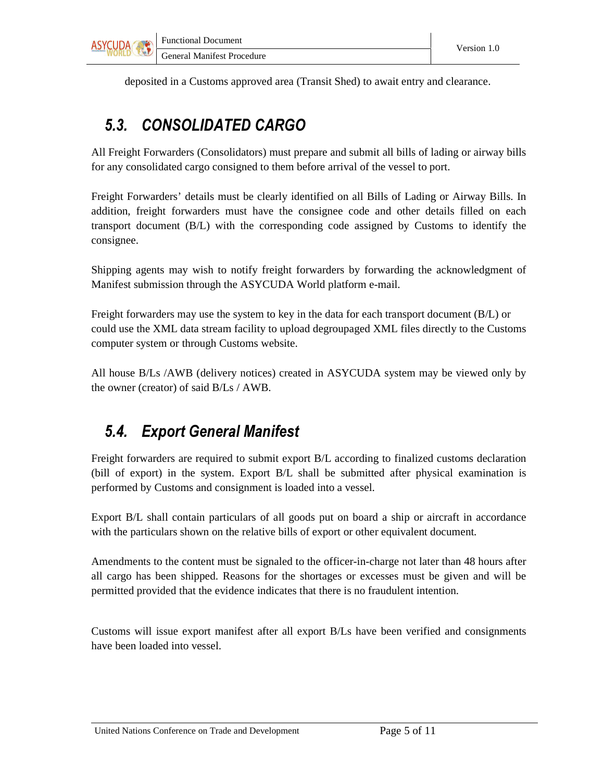

deposited in a Customs approved area (Transit Shed) to await entry and clearance.

## 5.3. CONSOLIDATED CARGO

All Freight Forwarders (Consolidators) must prepare and submit all bills of lading or airway bills for any consolidated cargo consigned to them before arrival of the vessel to port.

Freight Forwarders' details must be clearly identified on all Bills of Lading or Airway Bills. In addition, freight forwarders must have the consignee code and other details filled on each transport document (B/L) with the corresponding code assigned by Customs to identify the consignee.

Shipping agents may wish to notify freight forwarders by forwarding the acknowledgment of Manifest submission through the ASYCUDA World platform e-mail.

Freight forwarders may use the system to key in the data for each transport document (B/L) or could use the XML data stream facility to upload degroupaged XML files directly to the Customs computer system or through Customs website.

All house B/Ls /AWB (delivery notices) created in ASYCUDA system may be viewed only by the owner (creator) of said B/Ls / AWB.

### 5.4. Export General Manifest

Freight forwarders are required to submit export B/L according to finalized customs declaration (bill of export) in the system. Export B/L shall be submitted after physical examination is performed by Customs and consignment is loaded into a vessel.

Export B/L shall contain particulars of all goods put on board a ship or aircraft in accordance with the particulars shown on the relative bills of export or other equivalent document.

Amendments to the content must be signaled to the officer-in-charge not later than 48 hours after all cargo has been shipped. Reasons for the shortages or excesses must be given and will be permitted provided that the evidence indicates that there is no fraudulent intention.

Customs will issue export manifest after all export B/Ls have been verified and consignments have been loaded into vessel.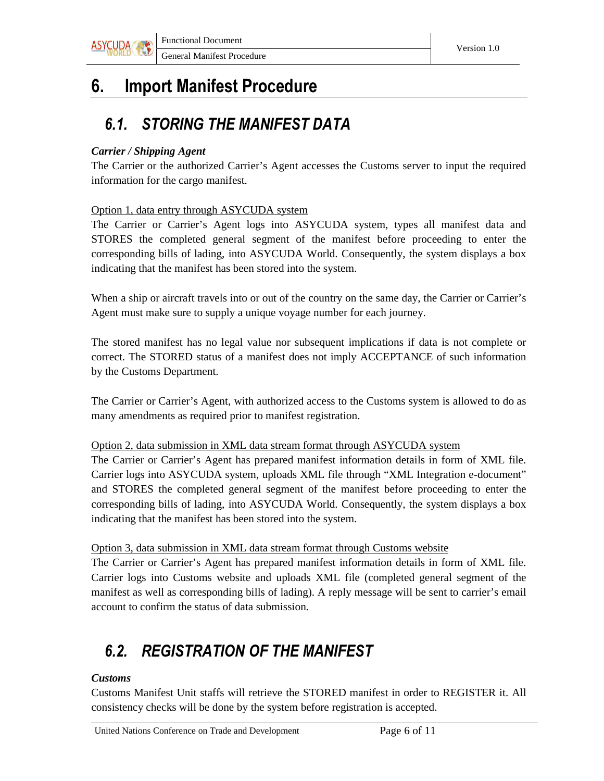

## 6. Import Manifest Procedure

### 6.1. STORING THE MANIFEST DATA

#### *Carrier / Shipping Agent*

The Carrier or the authorized Carrier's Agent accesses the Customs server to input the required information for the cargo manifest.

#### Option 1, data entry through ASYCUDA system

The Carrier or Carrier's Agent logs into ASYCUDA system, types all manifest data and STORES the completed general segment of the manifest before proceeding to enter the corresponding bills of lading, into ASYCUDA World. Consequently, the system displays a box indicating that the manifest has been stored into the system.

When a ship or aircraft travels into or out of the country on the same day, the Carrier or Carrier's Agent must make sure to supply a unique voyage number for each journey.

The stored manifest has no legal value nor subsequent implications if data is not complete or correct. The STORED status of a manifest does not imply ACCEPTANCE of such information by the Customs Department.

The Carrier or Carrier's Agent, with authorized access to the Customs system is allowed to do as many amendments as required prior to manifest registration.

#### Option 2, data submission in XML data stream format through ASYCUDA system

The Carrier or Carrier's Agent has prepared manifest information details in form of XML file. Carrier logs into ASYCUDA system, uploads XML file through "XML Integration e-document" and STORES the completed general segment of the manifest before proceeding to enter the corresponding bills of lading, into ASYCUDA World. Consequently, the system displays a box indicating that the manifest has been stored into the system.

#### Option 3, data submission in XML data stream format through Customs website

The Carrier or Carrier's Agent has prepared manifest information details in form of XML file. Carrier logs into Customs website and uploads XML file (completed general segment of the manifest as well as corresponding bills of lading). A reply message will be sent to carrier's email account to confirm the status of data submission.

## 6.2. REGISTRATION OF THE MANIFEST

#### *Customs*

Customs Manifest Unit staffs will retrieve the STORED manifest in order to REGISTER it. All consistency checks will be done by the system before registration is accepted.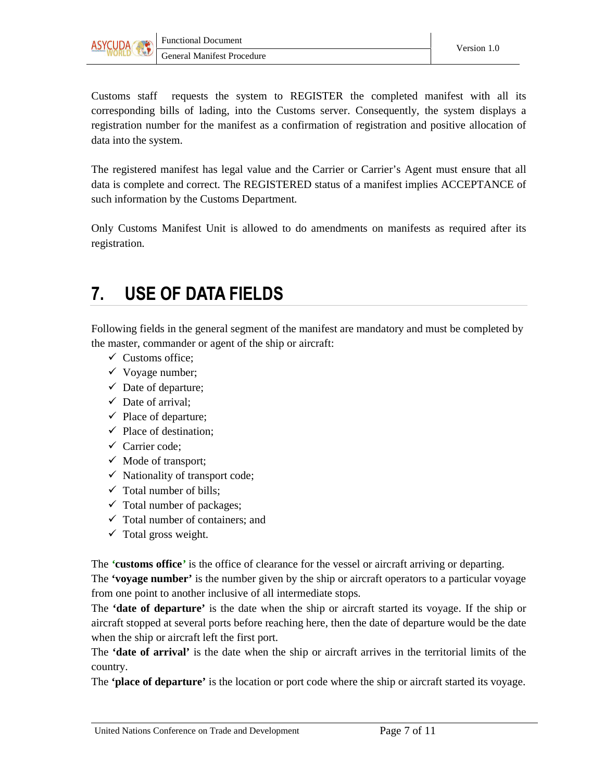

Customs staff requests the system to REGISTER the completed manifest with all its corresponding bills of lading, into the Customs server. Consequently, the system displays a registration number for the manifest as a confirmation of registration and positive allocation of data into the system.

The registered manifest has legal value and the Carrier or Carrier's Agent must ensure that all data is complete and correct. The REGISTERED status of a manifest implies ACCEPTANCE of such information by the Customs Department.

Only Customs Manifest Unit is allowed to do amendments on manifests as required after its registration.

## 7. USE OF DATA FIELDS

Following fields in the general segment of the manifest are mandatory and must be completed by the master, commander or agent of the ship or aircraft:

- $\checkmark$  Customs office;
- $\checkmark$  Voyage number;
- $\checkmark$  Date of departure;
- $\checkmark$  Date of arrival:
- $\checkmark$  Place of departure;
- $\checkmark$  Place of destination:
- $\checkmark$  Carrier code:
- $\checkmark$  Mode of transport;
- $\checkmark$  Nationality of transport code;
- $\checkmark$  Total number of bills;
- $\checkmark$  Total number of packages;
- $\checkmark$  Total number of containers; and
- $\checkmark$  Total gross weight.

The *'***customs office***'* is the office of clearance for the vessel or aircraft arriving or departing. The **'voyage number'** is the number given by the ship or aircraft operators to a particular voyage from one point to another inclusive of all intermediate stops.

The **'date of departure'** is the date when the ship or aircraft started its voyage. If the ship or aircraft stopped at several ports before reaching here, then the date of departure would be the date when the ship or aircraft left the first port.

The **'date of arrival'** is the date when the ship or aircraft arrives in the territorial limits of the country.

The **'place of departure'** is the location or port code where the ship or aircraft started its voyage.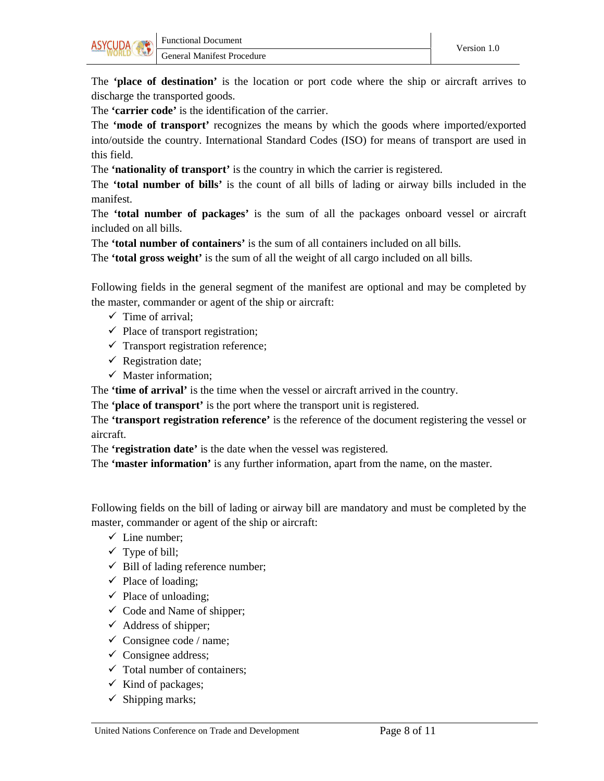

The **'place of destination'** is the location or port code where the ship or aircraft arrives to discharge the transported goods.

The **'carrier code'** is the identification of the carrier.

The **'mode of transport'** recognizes the means by which the goods where imported/exported into/outside the country. International Standard Codes (ISO) for means of transport are used in this field.

The **'nationality of transport'** is the country in which the carrier is registered.

The **'total number of bills'** is the count of all bills of lading or airway bills included in the manifest.

The **'total number of packages'** is the sum of all the packages onboard vessel or aircraft included on all bills.

The **'total number of containers'** is the sum of all containers included on all bills.

The **'total gross weight'** is the sum of all the weight of all cargo included on all bills.

Following fields in the general segment of the manifest are optional and may be completed by the master, commander or agent of the ship or aircraft:

- $\checkmark$  Time of arrival:
- $\checkmark$  Place of transport registration;
- $\checkmark$  Transport registration reference;
- $\checkmark$  Registration date;
- $\checkmark$  Master information;

The **'time of arrival'** is the time when the vessel or aircraft arrived in the country.

The **'place of transport'** is the port where the transport unit is registered.

The **'transport registration reference'** is the reference of the document registering the vessel or aircraft.

The **'registration date'** is the date when the vessel was registered.

The **'master information'** is any further information, apart from the name, on the master.

Following fields on the bill of lading or airway bill are mandatory and must be completed by the master, commander or agent of the ship or aircraft:

- $\checkmark$  Line number;
- $\checkmark$  Type of bill;
- $\checkmark$  Bill of lading reference number;
- $\checkmark$  Place of loading;
- $\checkmark$  Place of unloading;
- $\checkmark$  Code and Name of shipper;
- $\checkmark$  Address of shipper;
- $\checkmark$  Consignee code / name;
- $\checkmark$  Consignee address;
- $\checkmark$  Total number of containers;
- $\checkmark$  Kind of packages;
- $\checkmark$  Shipping marks;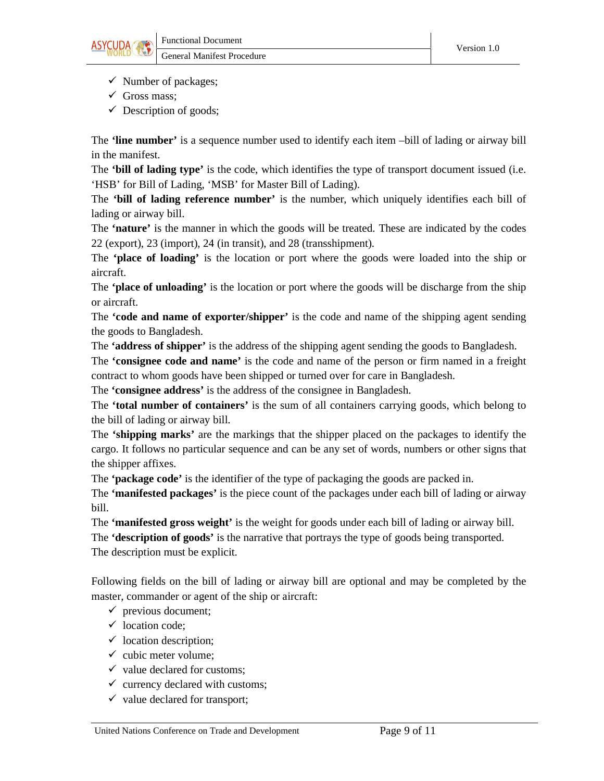

- $\checkmark$  Number of packages;
- $\checkmark$  Gross mass;
- $\checkmark$  Description of goods;

The **'line number'** is a sequence number used to identify each item –bill of lading or airway bill in the manifest.

The **'bill of lading type'** is the code, which identifies the type of transport document issued (i.e. 'HSB' for Bill of Lading, 'MSB' for Master Bill of Lading).

The **'bill of lading reference number'** is the number, which uniquely identifies each bill of lading or airway bill.

The **'nature'** is the manner in which the goods will be treated. These are indicated by the codes 22 (export), 23 (import), 24 (in transit), and 28 (transshipment).

The **'place of loading'** is the location or port where the goods were loaded into the ship or aircraft.

The **'place of unloading'** is the location or port where the goods will be discharge from the ship or aircraft.

The **'code and name of exporter/shipper'** is the code and name of the shipping agent sending the goods to Bangladesh.

The **'address of shipper'** is the address of the shipping agent sending the goods to Bangladesh.

The **'consignee code and name'** is the code and name of the person or firm named in a freight contract to whom goods have been shipped or turned over for care in Bangladesh.

The **'consignee address'** is the address of the consignee in Bangladesh.

The **'total number of containers'** is the sum of all containers carrying goods, which belong to the bill of lading or airway bill.

The **'shipping marks'** are the markings that the shipper placed on the packages to identify the cargo. It follows no particular sequence and can be any set of words, numbers or other signs that the shipper affixes.

The **'package code'** is the identifier of the type of packaging the goods are packed in.

The **'manifested packages'** is the piece count of the packages under each bill of lading or airway bill.

The **'manifested gross weight'** is the weight for goods under each bill of lading or airway bill.

The **'description of goods'** is the narrative that portrays the type of goods being transported. The description must be explicit.

Following fields on the bill of lading or airway bill are optional and may be completed by the master, commander or agent of the ship or aircraft:

- $\checkmark$  previous document;
- $\checkmark$  location code:
- $\checkmark$  location description;
- $\checkmark$  cubic meter volume;
- $\checkmark$  value declared for customs;
- $\checkmark$  currency declared with customs;
- $\checkmark$  value declared for transport;